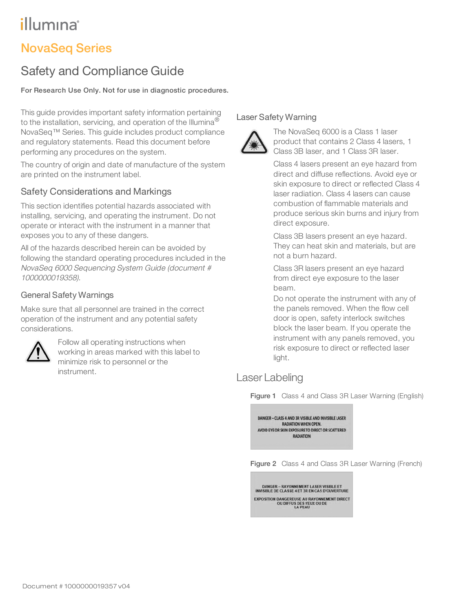# illumına

# NovaSeq Series

# Safety and Compliance Guide

## For Research Use Only. Not for use in diagnostic procedures.

This guide provides important safety information pertaining to the installation, servicing, and operation of the Illumina<sup>®</sup> NovaSeq™ Series. This guide includes product compliance and regulatory statements. Read this document before performing any procedures on the system.

The country of origin and date of manufacture of the system are printed on the instrument label.

# Safety Considerations and Markings

This section identifies potential hazards associated with installing, servicing, and operating the instrument. Do not operate or interact with the instrument in a manner that exposes you to any of these dangers.

All of the hazards described herein can be avoided by following the standard operating procedures included in the NovaSeq <sup>6000</sup> Sequencing System Guide (document # 1000000019358).

# General Safety Warnings

Make sure that all personnel are trained in the correct operation of the instrument and any potential safety considerations.



Follow all operating instructions when working in areas marked with this label to minimize risk to personnel or the instrument.

# Laser Safety Warning



The NovaSeq 6000 is a Class 1 laser product that contains 2 Class 4 lasers, 1 Class 3B laser, and 1 Class 3R laser.

Class 4 lasers present an eye hazard from direct and diffuse reflections. Avoid eye or skin exposure to direct or reflected Class 4 laser radiation. Class 4 lasers can cause combustion of flammable materials and produce serious skin burns and injury from direct exposure.

Class 3B lasers present an eye hazard. They can heat skin and materials, but are not a burn hazard.

Class 3R lasers present an eye hazard from direct eye exposure to the laser beam.

Do not operate the instrument with any of the panels removed. When the flow cell door is open, safety interlock switches block the laser beam. If you operate the instrument with any panels removed, you risk exposure to direct or reflected laser light.

# Laser Labeling

Figure 1 Class 4 and Class 3R Laser Warning (English)



Figure 2 Class 4 and Class 3R Laser Warning (French)

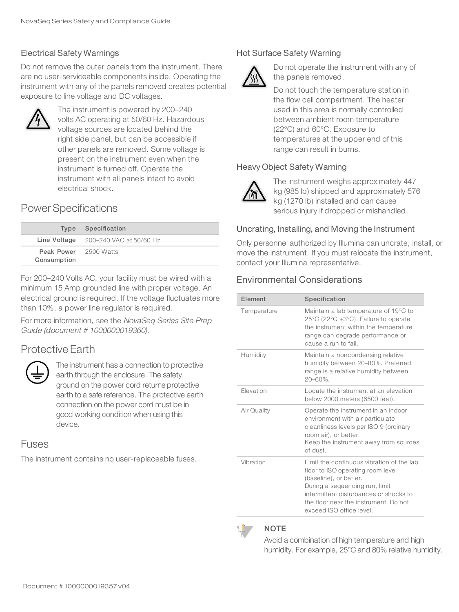# Electrical Safety Warnings

Do not remove the outer panels from the instrument. There are no user-serviceable components inside. Operating the instrument with any of the panels removed creates potential exposure to line voltage and DC voltages.



The instrument is powered by 200–240 volts AC operating at 50/60 Hz. Hazardous voltage sources are located behind the right side panel, but can be accessible if other panels are removed. Some voltage is present on the instrument even when the instrument is turned off. Operate the instrument with all panels intact to avoid electrical shock.

# Power Specifications

|                                             | Type Specification                     |
|---------------------------------------------|----------------------------------------|
|                                             | Line Voltage $200-240$ VAC at 50/60 Hz |
| <b>Peak Power</b> 2500 Watts<br>Consumption |                                        |

For 200–240 Volts AC, your facility must be wired with a minimum 15 Amp grounded line with proper voltage. An electrical ground is required. If the voltage fluctuates more than 10%, a power line regulator is required.

For more information, see the NovaSeq Series Site Prep Guide (document # 1000000019360).

# Protective Earth



The instrument has a connection to protective earth through the enclosure. The safety ground on the power cord returns protective earth to a safe reference. The protective earth connection on the power cord must be in good working condition when using this device.

# Fuses

The instrument contains no user-replaceable fuses.

# Hot Surface Safety Warning



Do not operate the instrument with any of the panels removed.

Do not touch the temperature station in the flow cell compartment. The heater used in this area is normally controlled between ambient room temperature (22°C) and 60°C. Exposure to temperatures at the upper end of this range can result in burns.

## Heavy Object Safety Warning



The instrument weighs approximately 447 kg (985 lb) shipped and approximately 576 kg (1270 lb) installed and can cause serious injury if dropped or mishandled.

#### Uncrating, Installing, and Moving the Instrument

Only personnel authorized by Illumina can uncrate, install, or move the instrument. If you must relocate the instrument, contact your Illumina representative.

# Environmental Considerations

| Flement     | Specification                                                                                                                                                                                                                                             |  |
|-------------|-----------------------------------------------------------------------------------------------------------------------------------------------------------------------------------------------------------------------------------------------------------|--|
| Temperature | Maintain a lab temperature of 19°C to<br>25 $\degree$ C (22 $\degree$ C ±3 $\degree$ C). Failure to operate<br>the instrument within the temperature<br>range can degrade performance or<br>cause a run to fail.                                          |  |
| Humidity    | Maintain a noncondensing relative<br>humidity between 20–80%. Preferred<br>range is a relative humidity between<br>20-60%.                                                                                                                                |  |
| Elevation   | Locate the instrument at an elevation<br>below 2000 meters (6500 feet).                                                                                                                                                                                   |  |
| Air Quality | Operate the instrument in an indoor<br>environment with air particulate<br>cleanliness levels per ISO 9 (ordinary<br>room air), or better.<br>Keep the instrument away from sources<br>of dust.                                                           |  |
| Vibration   | Limit the continuous vibration of the lab<br>floor to ISO operating room level<br>(baseline), or better.<br>During a sequencing run, limit<br>intermittent disturbances or shocks to<br>the floor near the instrument. Do not<br>exceed ISO office level. |  |



#### **NOTE**

Avoid a combination of high temperature and high humidity. For example, 25°C and 80% relative humidity.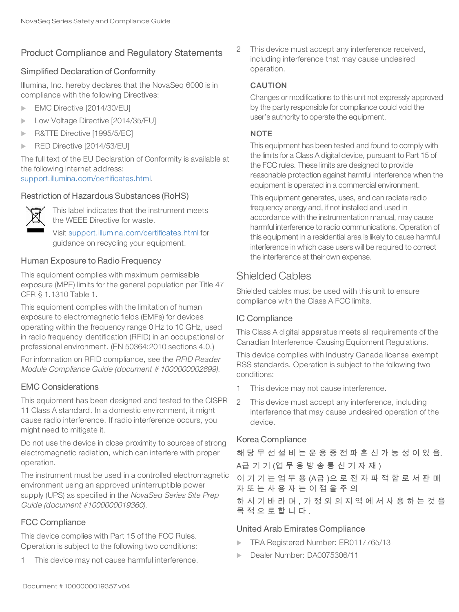# Product Compliance and Regulatory Statements

#### Simplified Declaration of Conformity

Illumina, Inc. hereby declares that the NovaSeq 6000 is in compliance with the following Directives:

- $\blacktriangleright$  EMC Directive [2014/30/EU]
- Low Voltage Directive [2014/35/EU]
- R&TTE Directive [1995/5/EC]
- $\triangleright$  RED Directive [2014/53/EU]

The full text of the EU Declaration of Conformity is available at the following internet address: [support.illumina.com/certificates.html](http://support.illumina.com/certificates.html).

#### Restriction of Hazardous Substances (RoHS)



This label indicates that the instrument meets the WEEE Directive for waste.

Visit [support.illumina.com/certificates.html](http://support.illumina.com/certificates.html) for guidance on recycling your equipment.

#### Human Exposure to Radio Frequency

This equipment complies with maximum permissible exposure (MPE) limits for the general population per Title 47 CFR § 1.1310 Table 1.

This equipment complies with the limitation of human exposure to electromagnetic fields (EMFs) for devices operating within the frequency range 0 Hz to 10 GHz, used in radio frequency identification (RFID) in an occupational or professional environment. (EN 50364:2010 sections 4.0.)

For information on RFID compliance, see the RFID Reader Module Compliance Guide (document # 1000000002699).

## EMC Considerations

This equipment has been designed and tested to the CISPR 11 Class A standard. In a domestic environment, it might cause radio interference. If radio interference occurs, you might need to mitigate it.

Do not use the device in close proximity to sources of strong electromagnetic radiation, which can interfere with proper operation.

The instrument must be used in a controlled electromagnetic environment using an approved uninterruptible power supply (UPS) as specified in the NovaSeq Series Site Prep Guide (document #1000000019360).

## FCC Compliance

This device complies with Part 15 of the FCC Rules. Operation is subject to the following two conditions:

1 This device may not cause harmful interference.

2 This device must accept any interference received, including interference that may cause undesired operation.

#### CAUTION

Changes or modifications to this unit not expressly approved by the party responsible for compliance could void the user's authority to operate the equipment.

#### **NOTE**

This equipment has been tested and found to comply with the limits for a Class A digital device, pursuant to Part 15 of the FCC rules. These limits are designed to provide reasonable protection against harmful interference when the equipment is operated in a commercial environment.

This equipment generates, uses, and can radiate radio frequency energy and, if not installed and used in accordance with the instrumentation manual, may cause harmful interference to radio communications. Operation of this equipment in a residential area is likely to cause harmful interference in which case users will be required to correct the interference at their own expense.

# Shielded Cables

Shielded cables must be used with this unit to ensure compliance with the Class A FCC limits.

## IC Compliance

This Class A digital apparatus meets all requirements of the Canadian Interference‐Causing Equipment Regulations.

This device complies with Industry Canada license exempt RSS standards. Operation is subject to the following two conditions:

- 1 This device may not cause interference.
- 2 This device must accept any interference, including interference that may cause undesired operation of the device.

## Korea Compliance

해 당 무 선 설 비 는 운 용 중 전 파 혼 신 가 능 성 이 있 음. A급 기 기 (업 무 용 방 송 통 신 기 자 재 ) 이 기 기 는 업 무 용 (A급 )으 로 전 자 파 적 합 로 서 판 매 자 또 는 사 용 자 는 이 점 을 주 의 하 시 기 바 라 며 , 가 정 외 의 지 역 에 서 사 용 하 는 것 을 목 적 으 로 합 니 다 . United Arab Emirates Compliance

- TRA Registered Number: ER0117765/13
- Dealer Number: DA0075306/11